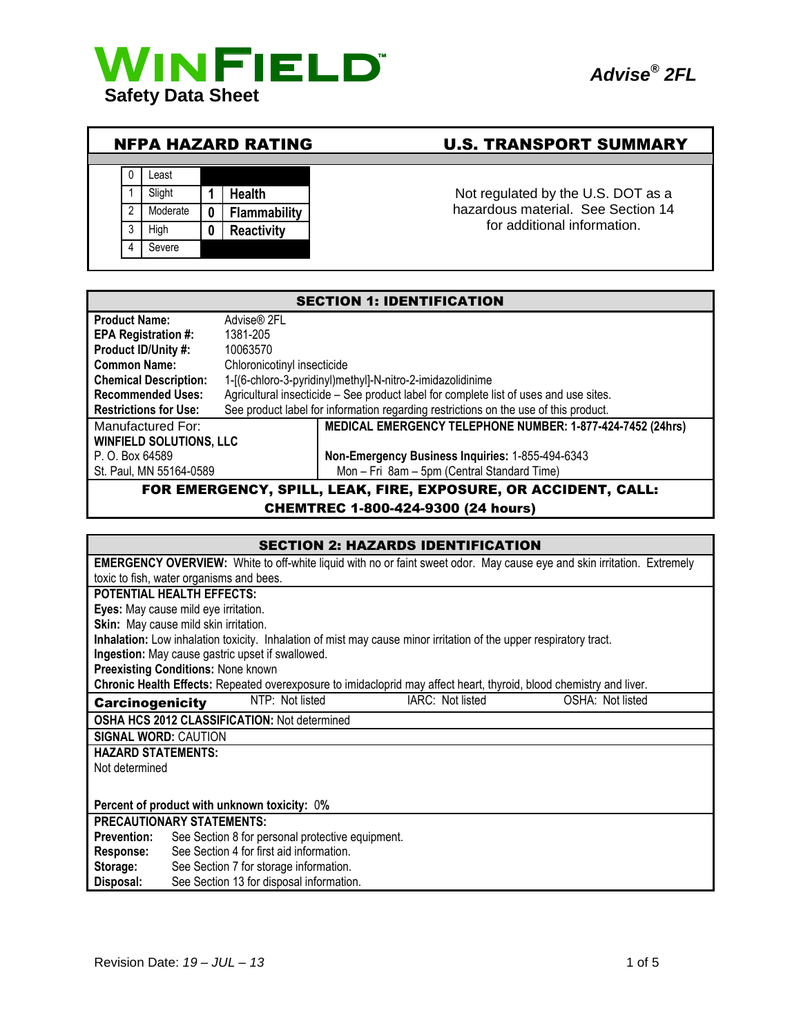





# NFPA HAZARD RATING U.S. TRANSPORT SUMMARY

hazardous material. See Section 14 for additional information.

| <b>SECTION 1: IDENTIFICATION</b>                               |                                                                                       |                                                                                      |
|----------------------------------------------------------------|---------------------------------------------------------------------------------------|--------------------------------------------------------------------------------------|
| <b>Product Name:</b>                                           | Advise® 2FL                                                                           |                                                                                      |
| <b>EPA Registration #:</b>                                     | 1381-205                                                                              |                                                                                      |
| Product ID/Unity #:                                            | 10063570                                                                              |                                                                                      |
| <b>Common Name:</b>                                            | Chloronicotinyl insecticide                                                           |                                                                                      |
| <b>Chemical Description:</b>                                   |                                                                                       | 1-[(6-chloro-3-pyridinyl)methyl]-N-nitro-2-imidazolidinime                           |
| <b>Recommended Uses:</b>                                       | Agricultural insecticide – See product label for complete list of uses and use sites. |                                                                                      |
| <b>Restrictions for Use:</b>                                   |                                                                                       | See product label for information regarding restrictions on the use of this product. |
| Manufactured For:                                              |                                                                                       | MEDICAL EMERGENCY TELEPHONE NUMBER: 1-877-424-7452 (24hrs)                           |
| <b>WINFIELD SOLUTIONS, LLC</b>                                 |                                                                                       |                                                                                      |
| P. O. Box 64589                                                |                                                                                       | Non-Emergency Business Inquiries: 1-855-494-6343                                     |
| St. Paul, MN 55164-0589                                        |                                                                                       | Mon - Fri 8am - 5pm (Central Standard Time)                                          |
| FOR EMERGENCY, SPILL, LEAK, FIRE, EXPOSURE, OR ACCIDENT, CALL: |                                                                                       |                                                                                      |

## CHEMTREC 1-800-424-9300 (24 hours)

| <b>SECTION 2: HAZARDS IDENTIFICATION</b>                                                                                       |
|--------------------------------------------------------------------------------------------------------------------------------|
| <b>EMERGENCY OVERVIEW:</b> White to off-white liquid with no or faint sweet odor. May cause eye and skin irritation. Extremely |
| toxic to fish, water organisms and bees.                                                                                       |
| <b>POTENTIAL HEALTH EFFECTS:</b>                                                                                               |
| Eyes: May cause mild eye irritation.                                                                                           |
| Skin: May cause mild skin irritation.                                                                                          |
| Inhalation: Low inhalation toxicity. Inhalation of mist may cause minor irritation of the upper respiratory tract.             |
| Ingestion: May cause gastric upset if swallowed.                                                                               |
| <b>Preexisting Conditions: None known</b>                                                                                      |
| Chronic Health Effects: Repeated overexposure to imidacloprid may affect heart, thyroid, blood chemistry and liver.            |
| NTP: Not listed<br>IARC: Not listed<br>OSHA: Not listed<br><b>Carcinogenicity</b>                                              |
| OSHA HCS 2012 CLASSIFICATION: Not determined                                                                                   |
| <b>SIGNAL WORD: CAUTION</b>                                                                                                    |
| <b>HAZARD STATEMENTS:</b>                                                                                                      |
| Not determined                                                                                                                 |
|                                                                                                                                |
| Percent of product with unknown toxicity: 0%                                                                                   |
| <b>PRECAUTIONARY STATEMENTS:</b>                                                                                               |
| See Section 8 for personal protective equipment.<br><b>Prevention:</b>                                                         |
| See Section 4 for first aid information.<br><b>Response:</b>                                                                   |
| Storage:<br>See Section 7 for storage information.                                                                             |
|                                                                                                                                |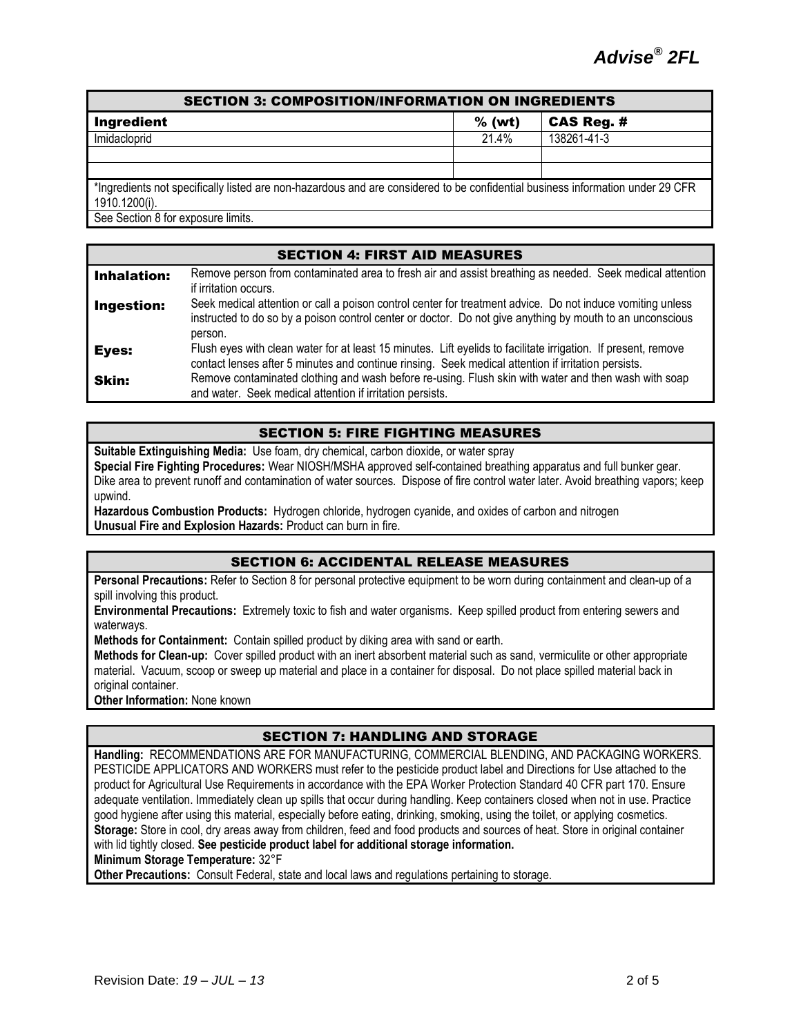# SECTION 3: COMPOSITION/INFORMATION ON INGREDIENTS Ingredient % (wt) CAS Reg. #

Imidacloprid 21.4% 138261-41-3

\*Ingredients not specifically listed are non-hazardous and are considered to be confidential business information under 29 CFR 1910.1200(i).

See Section 8 for exposure limits.

## SECTION 4: FIRST AID MEASURES **Inhalation:** Remove person from contaminated area to fresh air and assist breathing as needed. Seek medical attention if irritation occurs. **Ingestion:** Seek medical attention or call a poison control center for treatment advice. Do not induce vomiting unless instructed to do so by a poison control center or doctor. Do not give anything by mouth to an unconscious person. Eves: Flush eyes with clean water for at least 15 minutes. Lift eyelids to facilitate irrigation. If present, remove contact lenses after 5 minutes and continue rinsing. Seek medical attention if irritation persists. **Skin:** Remove contaminated clothing and wash before re-using. Flush skin with water and then wash with soap and water. Seek medical attention if irritation persists.

# SECTION 5: FIRE FIGHTING MEASURES

**Suitable Extinguishing Media:** Use foam, dry chemical, carbon dioxide, or water spray **Special Fire Fighting Procedures:** Wear NIOSH/MSHA approved self-contained breathing apparatus and full bunker gear. Dike area to prevent runoff and contamination of water sources. Dispose of fire control water later. Avoid breathing vapors; keep upwind.

**Hazardous Combustion Products:** Hydrogen chloride, hydrogen cyanide, and oxides of carbon and nitrogen **Unusual Fire and Explosion Hazards:** Product can burn in fire.

# SECTION 6: ACCIDENTAL RELEASE MEASURES

**Personal Precautions:** Refer to Section 8 for personal protective equipment to be worn during containment and clean-up of a spill involving this product.

**Environmental Precautions:** Extremely toxic to fish and water organisms. Keep spilled product from entering sewers and waterways.

**Methods for Containment:** Contain spilled product by diking area with sand or earth.

**Methods for Clean-up:** Cover spilled product with an inert absorbent material such as sand, vermiculite or other appropriate material. Vacuum, scoop or sweep up material and place in a container for disposal. Do not place spilled material back in original container.

**Other Information:** None known

# SECTION 7: HANDLING AND STORAGE

**Handling:** RECOMMENDATIONS ARE FOR MANUFACTURING, COMMERCIAL BLENDING, AND PACKAGING WORKERS. PESTICIDE APPLICATORS AND WORKERS must refer to the pesticide product label and Directions for Use attached to the product for Agricultural Use Requirements in accordance with the EPA Worker Protection Standard 40 CFR part 170. Ensure adequate ventilation. Immediately clean up spills that occur during handling. Keep containers closed when not in use. Practice good hygiene after using this material, especially before eating, drinking, smoking, using the toilet, or applying cosmetics. **Storage:** Store in cool, dry areas away from children, feed and food products and sources of heat. Store in original container with lid tightly closed. **See pesticide product label for additional storage information.**

**Minimum Storage Temperature:** 32°F

**Other Precautions:** Consult Federal, state and local laws and regulations pertaining to storage.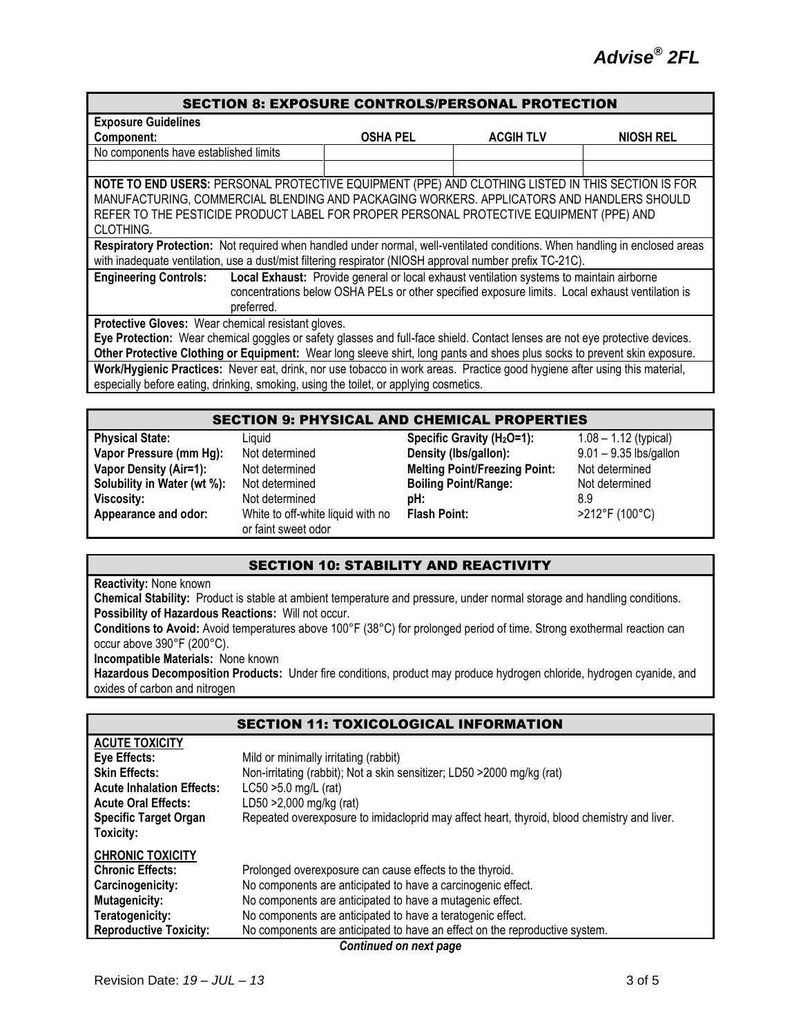#### SECTION 8: EXPOSURE CONTROLS/PERSONAL PROTECTION

| <b>Exposure Guidelines</b>                                                                                                                                                                                                                                                                             |                                                                                                                                                                                             |                  |                  |
|--------------------------------------------------------------------------------------------------------------------------------------------------------------------------------------------------------------------------------------------------------------------------------------------------------|---------------------------------------------------------------------------------------------------------------------------------------------------------------------------------------------|------------------|------------------|
| Component:                                                                                                                                                                                                                                                                                             | <b>OSHA PEL</b>                                                                                                                                                                             | <b>ACGIH TLV</b> | <b>NIOSH REL</b> |
| No components have established limits                                                                                                                                                                                                                                                                  |                                                                                                                                                                                             |                  |                  |
|                                                                                                                                                                                                                                                                                                        |                                                                                                                                                                                             |                  |                  |
| NOTE TO END USERS: PERSONAL PROTECTIVE EQUIPMENT (PPE) AND CLOTHING LISTED IN THIS SECTION IS FOR<br>MANUFACTURING, COMMERCIAL BLENDING AND PACKAGING WORKERS. APPLICATORS AND HANDLERS SHOULD<br>REFER TO THE PESTICIDE PRODUCT LABEL FOR PROPER PERSONAL PROTECTIVE EQUIPMENT (PPE) AND<br>CLOTHING. |                                                                                                                                                                                             |                  |                  |
| Respiratory Protection: Not required when handled under normal, well-ventilated conditions. When handling in enclosed areas<br>with inadequate ventilation, use a dust/mist filtering respirator (NIOSH approval number prefix TC-21C).                                                                |                                                                                                                                                                                             |                  |                  |
| <b>Engineering Controls:</b><br>preferred.                                                                                                                                                                                                                                                             | Local Exhaust: Provide general or local exhaust ventilation systems to maintain airborne<br>concentrations below OSHA PELs or other specified exposure limits. Local exhaust ventilation is |                  |                  |
| Protective Gloves: Wear chemical resistant gloves.                                                                                                                                                                                                                                                     |                                                                                                                                                                                             |                  |                  |
| Eye Protection: Wear chemical goggles or safety glasses and full-face shield. Contact lenses are not eye protective devices.                                                                                                                                                                           |                                                                                                                                                                                             |                  |                  |

**Other Protective Clothing or Equipment:** Wear long sleeve shirt, long pants and shoes plus socks to prevent skin exposure. **Work/Hygienic Practices:** Never eat, drink, nor use tobacco in work areas. Practice good hygiene after using this material, especially before eating, drinking, smoking, using the toilet, or applying cosmetics.

| <b>SECTION 9: PHYSICAL AND CHEMICAL PROPERTIES</b> |                                                          |                                        |                          |  |
|----------------------------------------------------|----------------------------------------------------------|----------------------------------------|--------------------------|--|
| <b>Physical State:</b>                             | Liauid                                                   | Specific Gravity (H <sub>2</sub> O=1): | $1.08 - 1.12$ (typical)  |  |
| Vapor Pressure (mm Hg):                            | Not determined                                           | Density (Ibs/gallon):                  | $9.01 - 9.35$ lbs/gallon |  |
| <b>Vapor Density (Air=1):</b>                      | Not determined                                           | <b>Melting Point/Freezing Point:</b>   | Not determined           |  |
| Solubility in Water (wt %):                        | Not determined                                           | <b>Boiling Point/Range:</b>            | Not determined           |  |
| <b>Viscosity:</b>                                  | Not determined                                           | pH:                                    | 8.9                      |  |
| Appearance and odor:                               | White to off-white liquid with no<br>or faint sweet odor | <b>Flash Point:</b>                    | >212°F (100°C)           |  |

## SECTION 10: STABILITY AND REACTIVITY

#### **Reactivity:** None known

**Chemical Stability:** Product is stable at ambient temperature and pressure, under normal storage and handling conditions. **Possibility of Hazardous Reactions:** Will not occur.

**Conditions to Avoid:** Avoid temperatures above 100°F (38°C) for prolonged period of time. Strong exothermal reaction can occur above 390°F (200°C).

**Incompatible Materials:** None known

**Hazardous Decomposition Products:** Under fire conditions, product may produce hydrogen chloride, hydrogen cyanide, and oxides of carbon and nitrogen

|                                  | <b>SECTION 11: TOXICOLOGICAL INFORMATION</b>                                                |  |
|----------------------------------|---------------------------------------------------------------------------------------------|--|
| <b>ACUTE TOXICITY</b>            |                                                                                             |  |
| Eye Effects:                     | Mild or minimally irritating (rabbit)                                                       |  |
| <b>Skin Effects:</b>             | Non-irritating (rabbit); Not a skin sensitizer; LD50 > 2000 mg/kg (rat)                     |  |
| <b>Acute Inhalation Effects:</b> | $LC50 > 5.0$ mg/L (rat)                                                                     |  |
| <b>Acute Oral Effects:</b>       | LD50 > 2,000 mg/kg (rat)                                                                    |  |
| <b>Specific Target Organ</b>     | Repeated overexposure to imidacloprid may affect heart, thyroid, blood chemistry and liver. |  |
| Toxicity:                        |                                                                                             |  |
| <b>CHRONIC TOXICITY</b>          |                                                                                             |  |
| <b>Chronic Effects:</b>          | Prolonged overexposure can cause effects to the thyroid.                                    |  |
| Carcinogenicity:                 | No components are anticipated to have a carcinogenic effect.                                |  |
| <b>Mutagenicity:</b>             | No components are anticipated to have a mutagenic effect.                                   |  |
| Teratogenicity:                  | No components are anticipated to have a teratogenic effect.                                 |  |
| <b>Reproductive Toxicity:</b>    | No components are anticipated to have an effect on the reproductive system.                 |  |
| Continued on next page           |                                                                                             |  |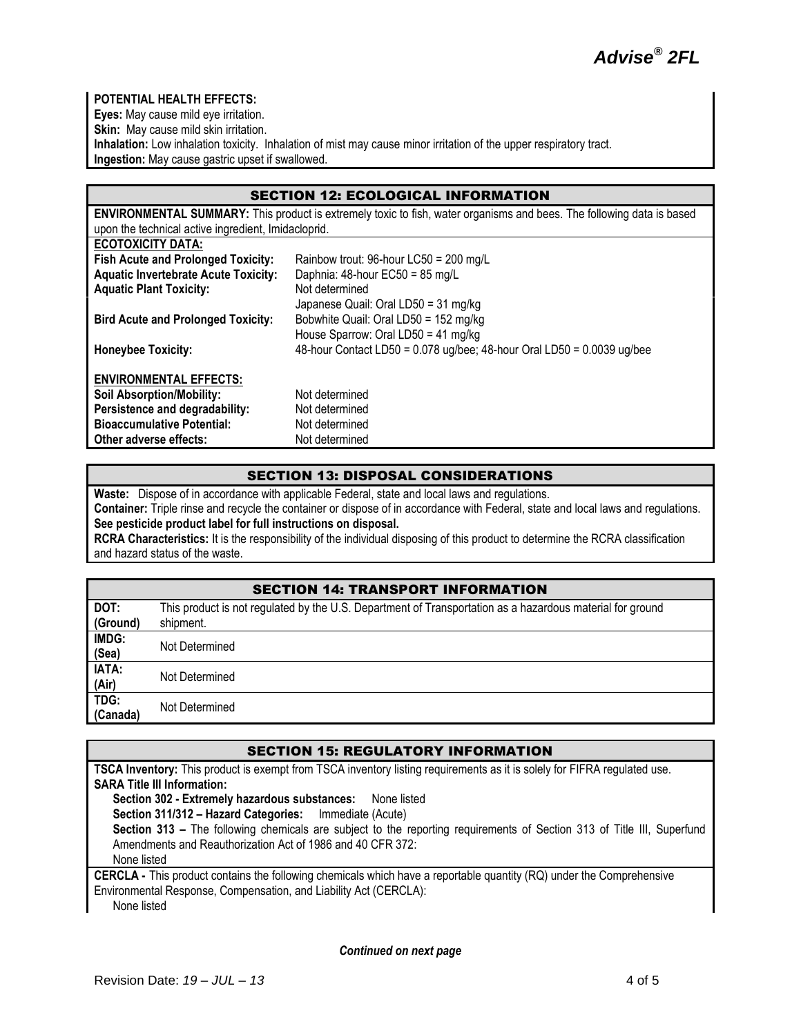

## **POTENTIAL HEALTH EFFECTS:**

**Eyes:** May cause mild eye irritation.

**Skin:** May cause mild skin irritation.

**Inhalation:** Low inhalation toxicity. Inhalation of mist may cause minor irritation of the upper respiratory tract. **Ingestion:** May cause gastric upset if swallowed.

## SECTION 12: ECOLOGICAL INFORMATION

| <b>ENVIRONMENTAL SUMMARY:</b> This product is extremely toxic to fish, water organisms and bees. The following data is based |                                                                        |  |
|------------------------------------------------------------------------------------------------------------------------------|------------------------------------------------------------------------|--|
| upon the technical active ingredient, Imidacloprid.                                                                          |                                                                        |  |
| <b>ECOTOXICITY DATA:</b>                                                                                                     |                                                                        |  |
| <b>Fish Acute and Prolonged Toxicity:</b>                                                                                    | Rainbow trout: 96-hour LC50 = 200 mg/L                                 |  |
| <b>Aquatic Invertebrate Acute Toxicity:</b>                                                                                  | Daphnia: $48$ -hour EC50 = $85 \text{ mg/L}$                           |  |
| <b>Aquatic Plant Toxicity:</b>                                                                                               | Not determined                                                         |  |
|                                                                                                                              | Japanese Quail: Oral LD50 = 31 mg/kg                                   |  |
| <b>Bird Acute and Prolonged Toxicity:</b>                                                                                    | Bobwhite Quail: Oral LD50 = 152 mg/kg                                  |  |
|                                                                                                                              | House Sparrow: Oral LD50 = 41 mg/kg                                    |  |
| <b>Honeybee Toxicity:</b>                                                                                                    | 48-hour Contact LD50 = 0.078 ug/bee; 48-hour Oral LD50 = 0.0039 ug/bee |  |
|                                                                                                                              |                                                                        |  |
| <b>ENVIRONMENTAL EFFECTS:</b>                                                                                                |                                                                        |  |
| <b>Soil Absorption/Mobility:</b>                                                                                             | Not determined                                                         |  |
| Persistence and degradability:                                                                                               | Not determined                                                         |  |
| <b>Bioaccumulative Potential:</b>                                                                                            | Not determined                                                         |  |
| Other adverse effects:                                                                                                       | Not determined                                                         |  |

## SECTION 13: DISPOSAL CONSIDERATIONS

**Waste:** Dispose of in accordance with applicable Federal, state and local laws and regulations.

**Container:** Triple rinse and recycle the container or dispose of in accordance with Federal, state and local laws and regulations. **See pesticide product label for full instructions on disposal.**

**RCRA Characteristics:** It is the responsibility of the individual disposing of this product to determine the RCRA classification and hazard status of the waste.

## SECTION 14: TRANSPORT INFORMATION

| DOT:     | This product is not regulated by the U.S. Department of Transportation as a hazardous material for ground |
|----------|-----------------------------------------------------------------------------------------------------------|
| (Ground) | shipment.                                                                                                 |
| IMDG:    | Not Determined                                                                                            |
| (Sea)    |                                                                                                           |
| IATA:    | Not Determined                                                                                            |
| (Air)    |                                                                                                           |
| TDG:     |                                                                                                           |
| (Canada) | Not Determined                                                                                            |

#### SECTION 15: REGULATORY INFORMATION

**TSCA Inventory:** This product is exempt from TSCA inventory listing requirements as it is solely for FIFRA regulated use. **SARA Title III Information: Section 302 - Extremely hazardous substances:** None listed **Section 311/312 – Hazard Categories:** Immediate (Acute) **Section 313 –** The following chemicals are subject to the reporting requirements of Section 313 of Title III, Superfund Amendments and Reauthorization Act of 1986 and 40 CFR 372: None listed **CERCLA -** This product contains the following chemicals which have a reportable quantity (RQ) under the Comprehensive Environmental Response, Compensation, and Liability Act (CERCLA):

None listed